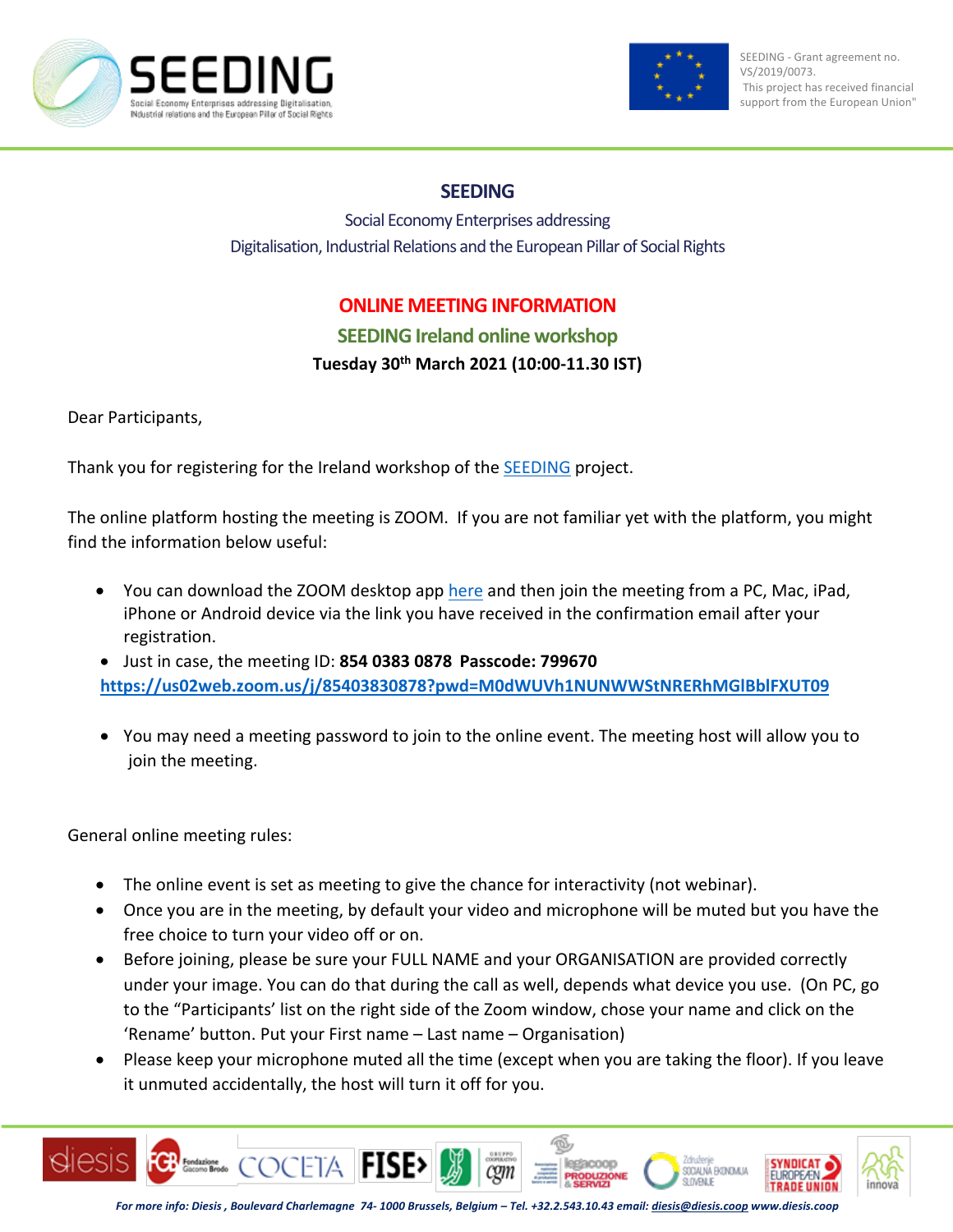



## **SEEDING**

Social Economy Enterprises addressing Digitalisation, Industrial Relations and the European Pillar of Social Rights

## **ONLINE MEETING INFORMATION**

## **SEEDING Ireland online workshop Tuesday 30th March 2021 (10:00-11.30 IST)**

Dear Participants,

Thank you for registering for the Ireland workshop of the SEEDING project.

The online platform hosting the meeting is ZOOM. If you are not familiar yet with the platform, you might find the information below useful:

- You can download the ZOOM desktop app here and then join the meeting from a PC, Mac, iPad, iPhone or Android device via the link you have received in the confirmation email after your registration.
- Just in case, the meeting ID: **854 0383 0878 Passcode: 799670 https://us02web.zoom.us/j/85403830878?pwd=M0dWUVh1NUNWWStNRERhMGlBblFXUT09**
- You may need a meeting password to join to the online event. The meeting host will allow you to join the meeting.

General online meeting rules:

- The online event is set as meeting to give the chance for interactivity (not webinar).
- Once you are in the meeting, by default your video and microphone will be muted but you have the free choice to turn your video off or on.
- Before joining, please be sure your FULL NAME and your ORGANISATION are provided correctly under your image. You can do that during the call as well, depends what device you use. (On PC, go to the "Participants' list on the right side of the Zoom window, chose your name and click on the 'Rename' button. Put your First name – Last name – Organisation)
- Please keep your microphone muted all the time (except when you are taking the floor). If you leave it unmuted accidentally, the host will turn it off for you.